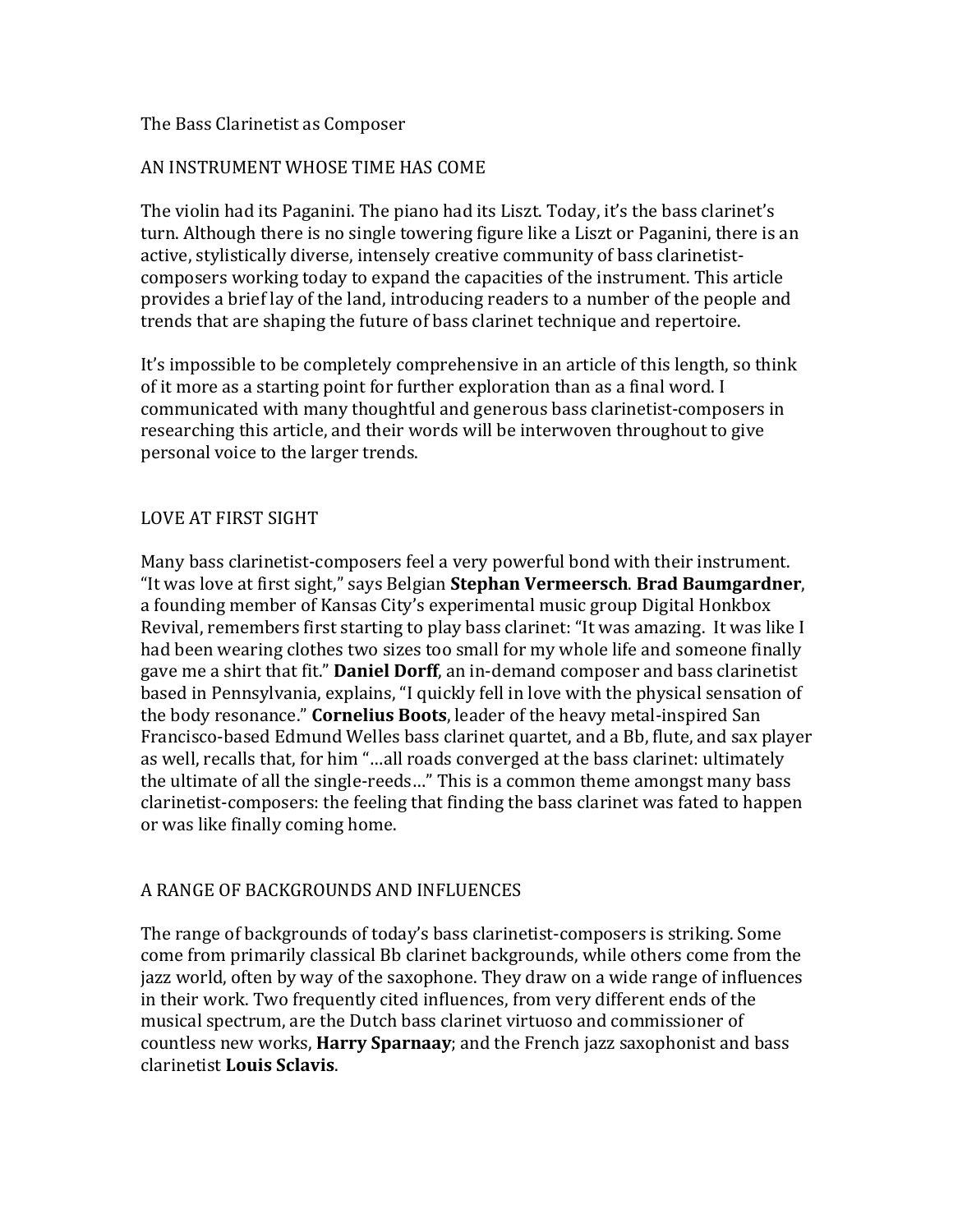## The Bass Clarinetist as Composer

# AN INSTRUMENT WHOSE TIME HAS COME

The violin had its Paganini. The piano had its Liszt. Today, it's the bass clarinet's turn. Although there is no single towering figure like a Liszt or Paganini, there is an active, stylistically diverse, intensely creative community of bass clarinetistcomposers working today to expand the capacities of the instrument. This article provides a brief lay of the land, introducing readers to a number of the people and trends that are shaping the future of bass clarinet technique and repertoire.

It's impossible to be completely comprehensive in an article of this length, so think of it more as a starting point for further exploration than as a final word. I communicated with many thoughtful and generous bass clarinetist-composers in researching this article, and their words will be interwoven throughout to give personal voice to the larger trends.

## LOVE AT FIRST SIGHT

Many bass clarinetist-composers feel a very powerful bond with their instrument. "It was love at first sight," says Belgian **Stephan Vermeersch. Brad Baumgardner**, a founding member of Kansas City's experimental music group Digital Honkbox Revival, remembers first starting to play bass clarinet: "It was amazing. It was like I had been wearing clothes two sizes too small for my whole life and someone finally gave me a shirt that fit." **Daniel Dorff**, an in-demand composer and bass clarinetist based in Pennsylvania, explains, "I quickly fell in love with the physical sensation of the body resonance." **Cornelius Boots**, leader of the heavy metal-inspired San Francisco-based Edmund Welles bass clarinet quartet, and a Bb, flute, and sax player as well, recalls that, for him "...all roads converged at the bass clarinet: ultimately the ultimate of all the single-reeds..." This is a common theme amongst many bass clarinetist-composers: the feeling that finding the bass clarinet was fated to happen or was like finally coming home.

# A RANGE OF BACKGROUNDS AND INFLUENCES

The range of backgrounds of today's bass clarinetist-composers is striking. Some come from primarily classical Bb clarinet backgrounds, while others come from the jazz world, often by way of the saxophone. They draw on a wide range of influences in their work. Two frequently cited influences, from very different ends of the musical spectrum, are the Dutch bass clarinet virtuoso and commissioner of countless new works, **Harry Sparnaay**; and the French jazz saxophonist and bass clarinetist **Louis Sclavis**.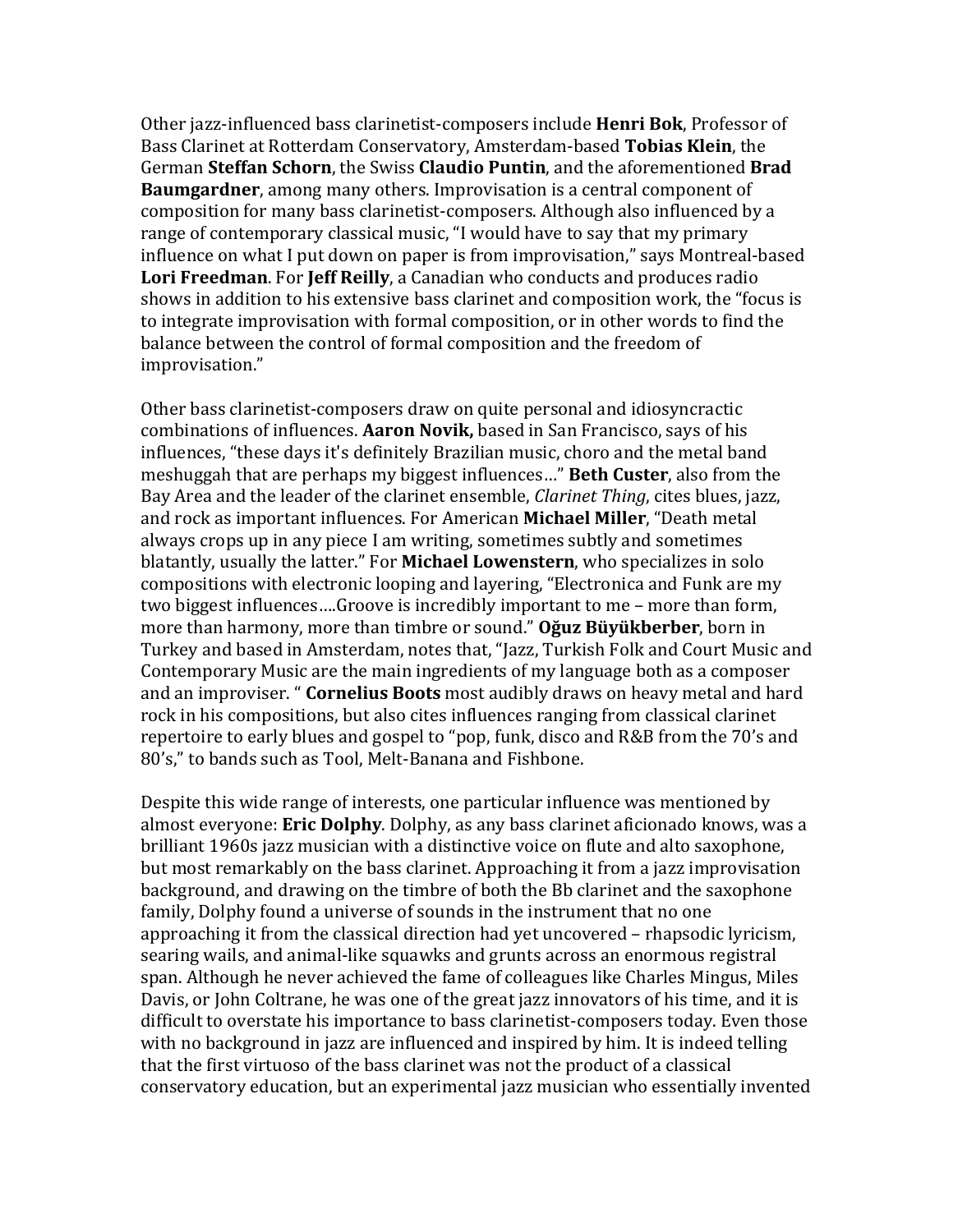Other jazz-influenced bass clarinetist-composers include **Henri Bok**, Professor of Bass Clarinet at Rotterdam Conservatory, Amsterdam-based Tobias Klein, the German Steffan Schorn, the Swiss Claudio Puntin, and the aforementioned Brad **Baumgardner**, among many others. Improvisation is a central component of composition for many bass clarinetist-composers. Although also influenced by a range of contemporary classical music, "I would have to say that my primary influence on what I put down on paper is from improvisation," says Montreal-based **Lori Freedman.** For **Jeff Reilly**, a Canadian who conducts and produces radio shows in addition to his extensive bass clarinet and composition work, the "focus is to integrate improvisation with formal composition, or in other words to find the balance between the control of formal composition and the freedom of improvisation."

Other bass clarinetist-composers draw on quite personal and idiosyncractic combinations of influences. **Aaron Novik**, based in San Francisco, says of his influences, "these days it's definitely Brazilian music, choro and the metal band meshuggah that are perhaps my biggest influences..." **Beth Custer**, also from the Bay Area and the leader of the clarinet ensemble, *Clarinet Thing*, cites blues, jazz, and rock as important influences. For American **Michael Miller**, "Death metal always crops up in any piece I am writing, sometimes subtly and sometimes blatantly, usually the latter." For **Michael Lowenstern**, who specializes in solo compositions with electronic looping and layering, "Electronica and Funk are my two biggest influences....Groove is incredibly important to me – more than form, more than harmony, more than timbre or sound." **Oğuz Büyükberber**, born in Turkey and based in Amsterdam, notes that, "Jazz, Turkish Folk and Court Music and Contemporary Music are the main ingredients of my language both as a composer and an improviser. " **Cornelius Boots** most audibly draws on heavy metal and hard rock in his compositions, but also cites influences ranging from classical clarinet repertoire to early blues and gospel to "pop, funk, disco and R&B from the 70's and 80's," to bands such as Tool, Melt-Banana and Fishbone.

Despite this wide range of interests, one particular influence was mentioned by almost everyone: **Eric Dolphy**. Dolphy, as any bass clarinet aficionado knows, was a brilliant 1960s jazz musician with a distinctive voice on flute and alto saxophone, but most remarkably on the bass clarinet. Approaching it from a jazz improvisation background, and drawing on the timbre of both the Bb clarinet and the saxophone family, Dolphy found a universe of sounds in the instrument that no one approaching it from the classical direction had vet uncovered – rhapsodic lyricism, searing wails, and animal-like squawks and grunts across an enormous registral span. Although he never achieved the fame of colleagues like Charles Mingus, Miles Davis, or John Coltrane, he was one of the great jazz innovators of his time, and it is difficult to overstate his importance to bass clarinetist-composers today. Even those with no background in jazz are influenced and inspired by him. It is indeed telling that the first virtuoso of the bass clarinet was not the product of a classical conservatory education, but an experimental jazz musician who essentially invented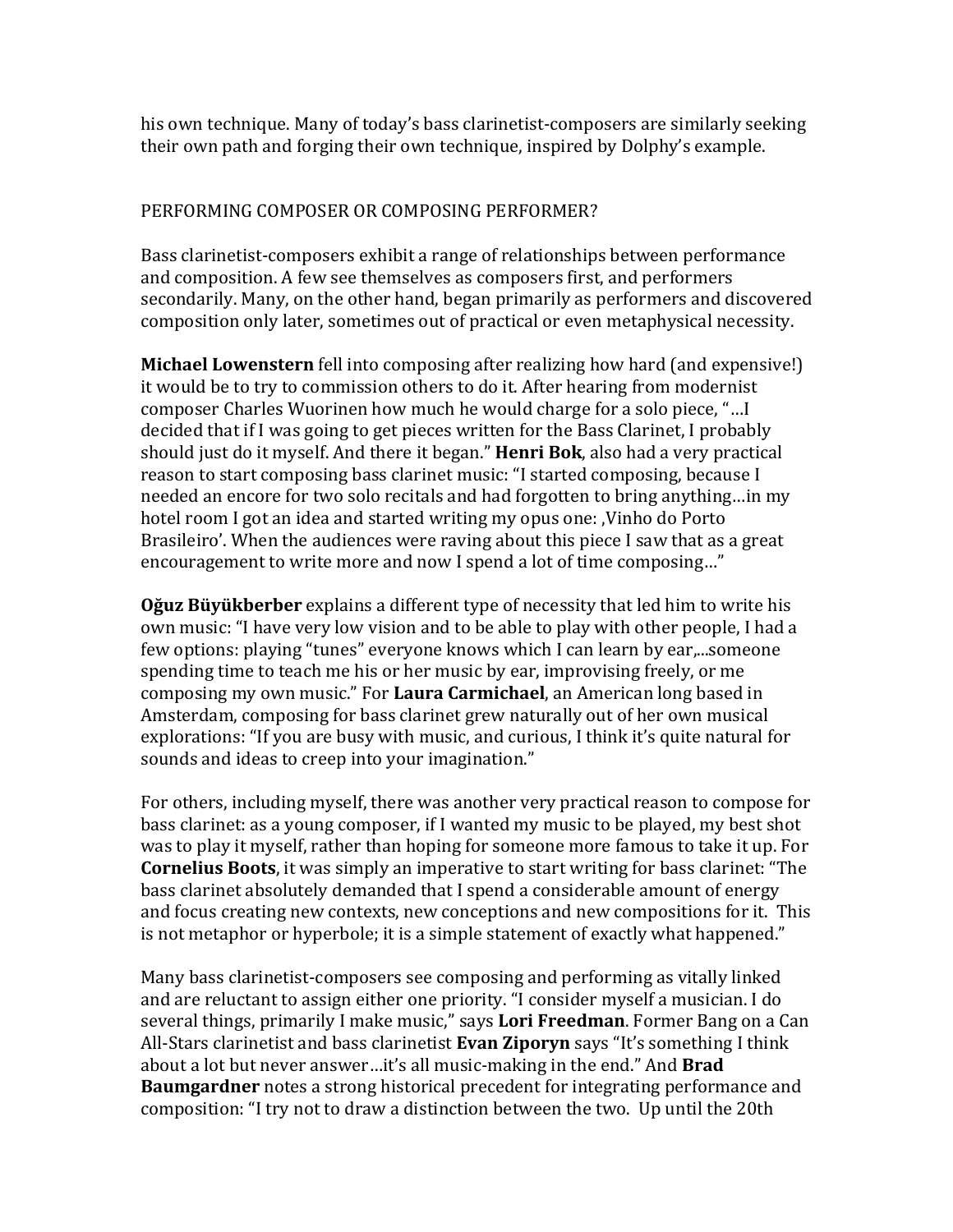his own technique. Many of today's bass clarinetist-composers are similarly seeking their own path and forging their own technique, inspired by Dolphy's example.

# PERFORMING COMPOSER OR COMPOSING PERFORMER?

Bass clarinetist-composers exhibit a range of relationships between performance and composition. A few see themselves as composers first, and performers secondarily. Many, on the other hand, began primarily as performers and discovered composition only later, sometimes out of practical or even metaphysical necessity.

**Michael Lowenstern** fell into composing after realizing how hard (and expensive!) it would be to try to commission others to do it. After hearing from modernist composer Charles Wuorinen how much he would charge for a solo piece, "... I decided that if I was going to get pieces written for the Bass Clarinet, I probably should just do it myself. And there it began." **Henri Bok**, also had a very practical reason to start composing bass clarinet music: "I started composing, because I needed an encore for two solo recitals and had forgotten to bring anything...in my hotel room I got an idea and started writing my opus one: Vinho do Porto Brasileiro'. When the audiences were raving about this piece I saw that as a great encouragement to write more and now I spend a lot of time composing..."

**Oğuz Büyükberber** explains a different type of necessity that led him to write his own music: "I have very low vision and to be able to play with other people. I had a few options: playing "tunes" everyone knows which I can learn by ear,...someone spending time to teach me his or her music by ear, improvising freely, or me composing my own music." For **Laura Carmichael**, an American long based in Amsterdam, composing for bass clarinet grew naturally out of her own musical explorations: "If you are busy with music, and curious, I think it's quite natural for sounds and ideas to creep into your imagination."

For others, including myself, there was another very practical reason to compose for bass clarinet: as a young composer, if I wanted my music to be played, my best shot was to play it myself, rather than hoping for someone more famous to take it up. For **Cornelius Boots**, it was simply an imperative to start writing for bass clarinet: "The bass clarinet absolutely demanded that I spend a considerable amount of energy and focus creating new contexts, new conceptions and new compositions for it. This is not metaphor or hyperbole; it is a simple statement of exactly what happened."

Many bass clarinetist-composers see composing and performing as vitally linked and are reluctant to assign either one priority. "I consider myself a musician. I do several things, primarily I make music," says **Lori Freedman**. Former Bang on a Can All-Stars clarinetist and bass clarinetist **Evan Ziporyn** says "It's something I think about a lot but never answer...it's all music-making in the end." And **Brad Baumgardner** notes a strong historical precedent for integrating performance and composition: "I try not to draw a distinction between the two. Up until the 20th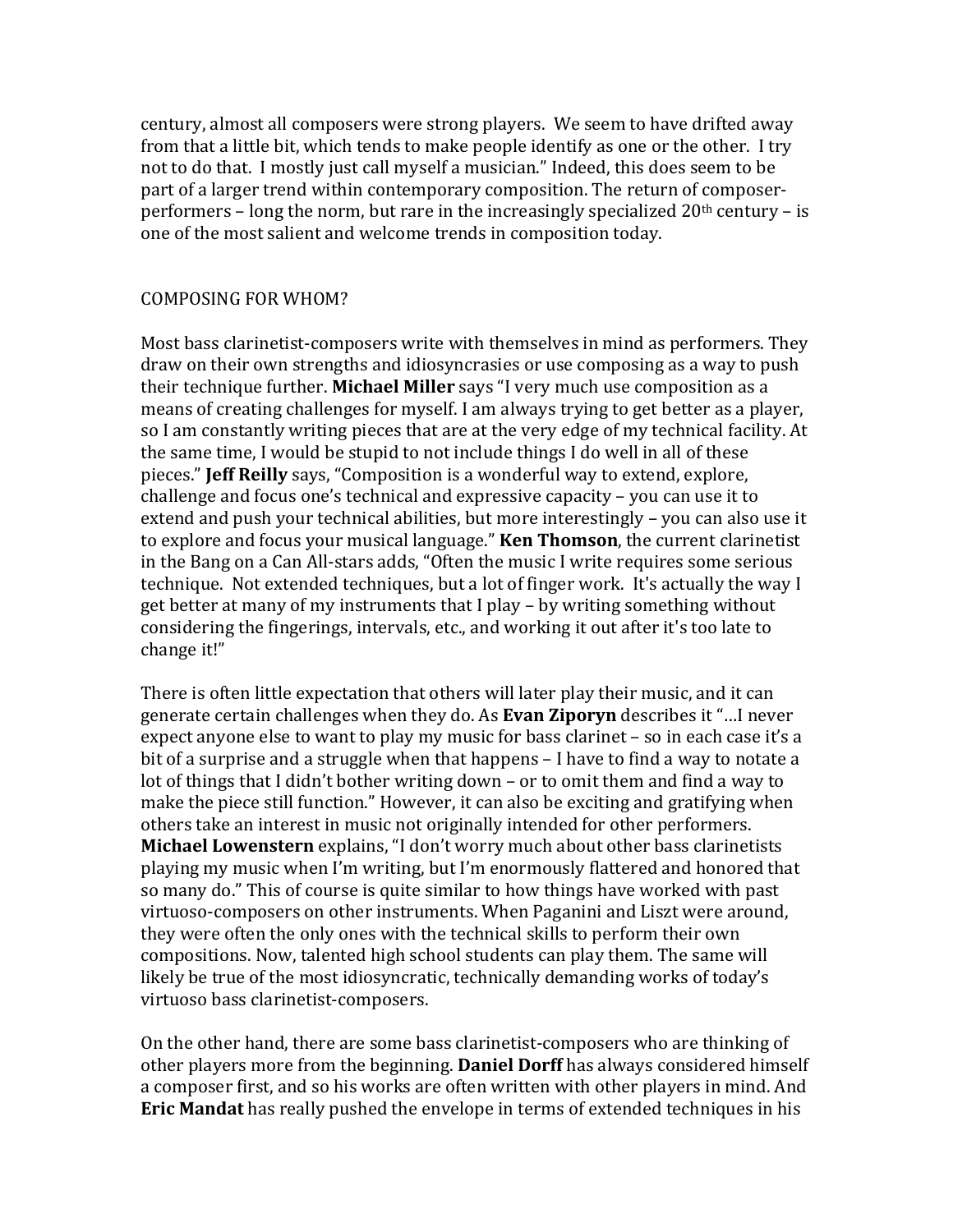century, almost all composers were strong players. We seem to have drifted away from that a little bit, which tends to make people identify as one or the other. I try not to do that. I mostly just call myself a musician." Indeed, this does seem to be part of a larger trend within contemporary composition. The return of composerperformers – long the norm, but rare in the increasingly specialized  $20<sup>th</sup>$  century – is one of the most salient and welcome trends in composition today.

#### COMPOSING FOR WHOM?

Most bass clarinetist-composers write with themselves in mind as performers. They draw on their own strengths and idiosyncrasies or use composing as a way to push their technique further. Michael Miller says "I very much use composition as a means of creating challenges for myself. I am always trying to get better as a player, so I am constantly writing pieces that are at the very edge of my technical facility. At the same time, I would be stupid to not include things I do well in all of these pieces." **Jeff Reilly** says, "Composition is a wonderful way to extend, explore, challenge and focus one's technical and expressive capacity – you can use it to extend and push your technical abilities, but more interestingly – you can also use it to explore and focus your musical language." **Ken Thomson**, the current clarinetist in the Bang on a Can All-stars adds, "Often the music I write requires some serious technique. Not extended techniques, but a lot of finger work. It's actually the way I get better at many of my instruments that I play – by writing something without considering the fingerings, intervals, etc., and working it out after it's too late to change it!"

There is often little expectation that others will later play their music, and it can generate certain challenges when they do. As **Evan Ziporyn** describes it "...I never expect anyone else to want to play my music for bass clarinet – so in each case it's a bit of a surprise and a struggle when that happens – I have to find a way to notate a lot of things that I didn't bother writing down – or to omit them and find a way to make the piece still function." However, it can also be exciting and gratifying when others take an interest in music not originally intended for other performers. **Michael Lowenstern** explains, "I don't worry much about other bass clarinetists playing my music when I'm writing, but I'm enormously flattered and honored that so many do." This of course is quite similar to how things have worked with past virtuoso-composers on other instruments. When Paganini and Liszt were around, they were often the only ones with the technical skills to perform their own compositions. Now, talented high school students can play them. The same will likely be true of the most idiosyncratic, technically demanding works of today's virtuoso bass clarinetist-composers.

On the other hand, there are some bass clarinetist-composers who are thinking of other players more from the beginning. **Daniel Dorff** has always considered himself a composer first, and so his works are often written with other players in mind. And **Eric Mandat** has really pushed the envelope in terms of extended techniques in his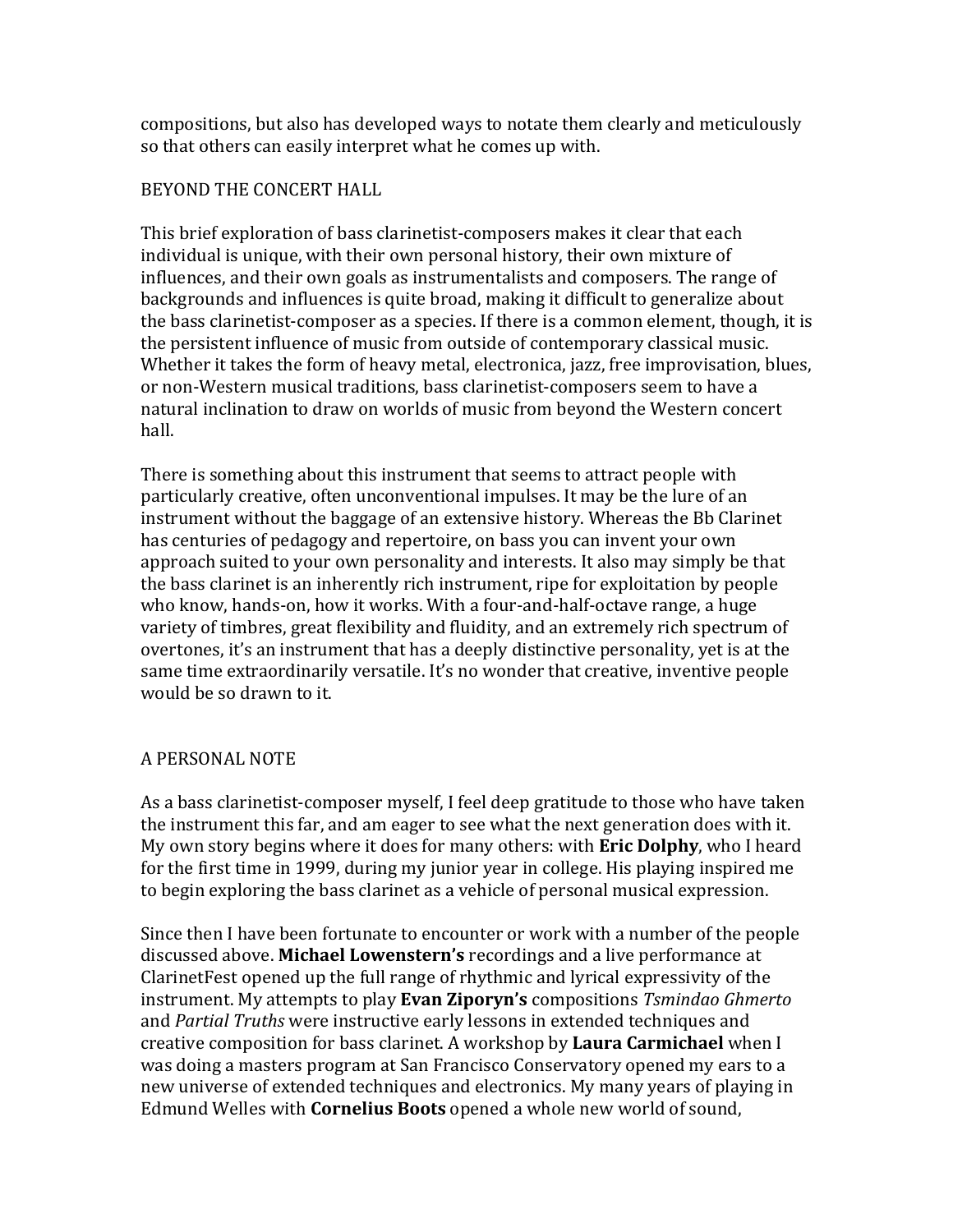compositions, but also has developed ways to notate them clearly and meticulously so that others can easily interpret what he comes up with.

## BEYOND THE CONCERT HALL

This brief exploration of bass clarinetist-composers makes it clear that each individual is unique, with their own personal history, their own mixture of influences, and their own goals as instrumentalists and composers. The range of backgrounds and influences is quite broad, making it difficult to generalize about the bass clarinetist-composer as a species. If there is a common element, though, it is the persistent influence of music from outside of contemporary classical music. Whether it takes the form of heavy metal, electronica, jazz, free improvisation, blues, or non-Western musical traditions, bass clarinetist-composers seem to have a natural inclination to draw on worlds of music from beyond the Western concert hall. 

There is something about this instrument that seems to attract people with particularly creative, often unconventional impulses. It may be the lure of an instrument without the baggage of an extensive history. Whereas the Bb Clarinet has centuries of pedagogy and repertoire, on bass you can invent your own approach suited to your own personality and interests. It also may simply be that the bass clarinet is an inherently rich instrument, ripe for exploitation by people who know, hands-on, how it works. With a four-and-half-octave range, a huge variety of timbres, great flexibility and fluidity, and an extremely rich spectrum of overtones, it's an instrument that has a deeply distinctive personality, yet is at the same time extraordinarily versatile. It's no wonder that creative, inventive people would be so drawn to it.

# A PERSONAL NOTE

As a bass clarinetist-composer myself, I feel deep gratitude to those who have taken the instrument this far, and am eager to see what the next generation does with it. My own story begins where it does for many others: with **Eric Dolphy**, who I heard for the first time in 1999, during my junior year in college. His playing inspired me to begin exploring the bass clarinet as a vehicle of personal musical expression.

Since then I have been fortunate to encounter or work with a number of the people discussed above. **Michael Lowenstern's** recordings and a live performance at ClarinetFest opened up the full range of rhythmic and lyrical expressivity of the instrument. My attempts to play **Evan Ziporyn's** compositions *Tsmindao Ghmerto* and *Partial Truths* were instructive early lessons in extended techniques and creative composition for bass clarinet. A workshop by **Laura Carmichael** when I was doing a masters program at San Francisco Conservatory opened my ears to a new universe of extended techniques and electronics. My many years of playing in Edmund Welles with **Cornelius Boots** opened a whole new world of sound,